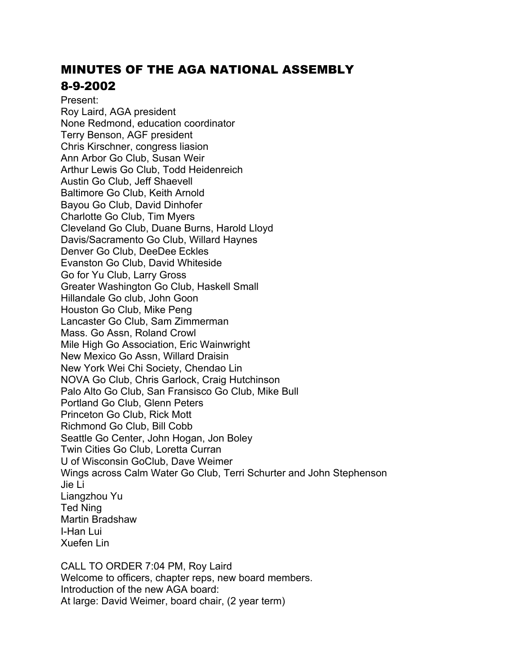# MINUTES OF THE AGA NATIONAL ASSEMBLY 8-9-2002

Present: Roy Laird, AGA president None Redmond, education coordinator Terry Benson, AGF president Chris Kirschner, congress liasion Ann Arbor Go Club, Susan Weir Arthur Lewis Go Club, Todd Heidenreich Austin Go Club, Jeff Shaevell Baltimore Go Club, Keith Arnold Bayou Go Club, David Dinhofer Charlotte Go Club, Tim Myers Cleveland Go Club, Duane Burns, Harold Lloyd Davis/Sacramento Go Club, Willard Haynes Denver Go Club, DeeDee Eckles Evanston Go Club, David Whiteside Go for Yu Club, Larry Gross Greater Washington Go Club, Haskell Small Hillandale Go club, John Goon Houston Go Club, Mike Peng Lancaster Go Club, Sam Zimmerman Mass. Go Assn, Roland Crowl Mile High Go Association, Eric Wainwright New Mexico Go Assn, Willard Draisin New York Wei Chi Society, Chendao Lin NOVA Go Club, Chris Garlock, Craig Hutchinson Palo Alto Go Club, San Fransisco Go Club, Mike Bull Portland Go Club, Glenn Peters Princeton Go Club, Rick Mott Richmond Go Club, Bill Cobb Seattle Go Center, John Hogan, Jon Boley Twin Cities Go Club, Loretta Curran U of Wisconsin GoClub, Dave Weimer Wings across Calm Water Go Club, Terri Schurter and John Stephenson Jie Li Liangzhou Yu Ted Ning Martin Bradshaw I-Han Lui Xuefen Lin

CALL TO ORDER 7:04 PM, Roy Laird Welcome to officers, chapter reps, new board members. Introduction of the new AGA board: At large: David Weimer, board chair, (2 year term)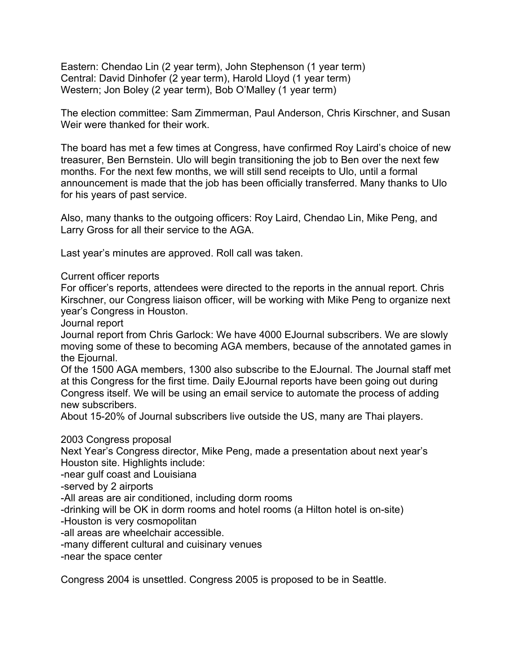Eastern: Chendao Lin (2 year term), John Stephenson (1 year term) Central: David Dinhofer (2 year term), Harold Lloyd (1 year term) Western; Jon Boley (2 year term), Bob O'Malley (1 year term)

The election committee: Sam Zimmerman, Paul Anderson, Chris Kirschner, and Susan Weir were thanked for their work.

The board has met a few times at Congress, have confirmed Roy Laird's choice of new treasurer, Ben Bernstein. Ulo will begin transitioning the job to Ben over the next few months. For the next few months, we will still send receipts to Ulo, until a formal announcement is made that the job has been officially transferred. Many thanks to Ulo for his years of past service.

Also, many thanks to the outgoing officers: Roy Laird, Chendao Lin, Mike Peng, and Larry Gross for all their service to the AGA.

Last year's minutes are approved. Roll call was taken.

### Current officer reports

For officer's reports, attendees were directed to the reports in the annual report. Chris Kirschner, our Congress liaison officer, will be working with Mike Peng to organize next year's Congress in Houston.

Journal report

Journal report from Chris Garlock: We have 4000 EJournal subscribers. We are slowly moving some of these to becoming AGA members, because of the annotated games in the Ejournal.

Of the 1500 AGA members, 1300 also subscribe to the EJournal. The Journal staff met at this Congress for the first time. Daily EJournal reports have been going out during Congress itself. We will be using an email service to automate the process of adding new subscribers.

About 15-20% of Journal subscribers live outside the US, many are Thai players.

#### 2003 Congress proposal

Next Year's Congress director, Mike Peng, made a presentation about next year's Houston site. Highlights include:

-near gulf coast and Louisiana

-served by 2 airports

-All areas are air conditioned, including dorm rooms

-drinking will be OK in dorm rooms and hotel rooms (a Hilton hotel is on-site)

-Houston is very cosmopolitan

-all areas are wheelchair accessible.

-many different cultural and cuisinary venues

-near the space center

Congress 2004 is unsettled. Congress 2005 is proposed to be in Seattle.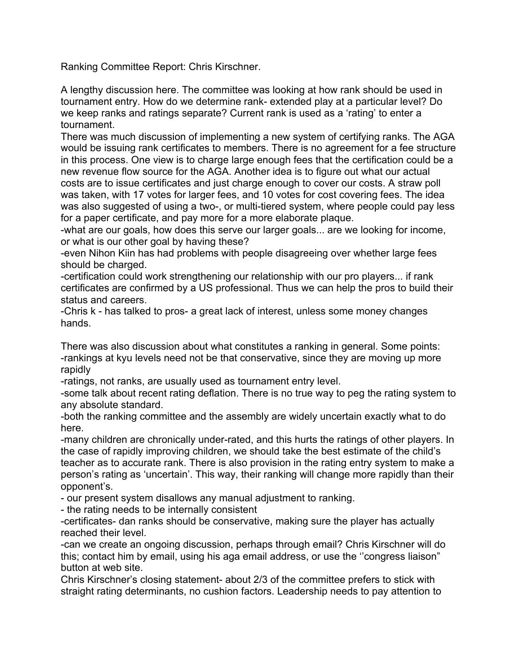Ranking Committee Report: Chris Kirschner.

A lengthy discussion here. The committee was looking at how rank should be used in tournament entry. How do we determine rank- extended play at a particular level? Do we keep ranks and ratings separate? Current rank is used as a 'rating' to enter a tournament.

There was much discussion of implementing a new system of certifying ranks. The AGA would be issuing rank certificates to members. There is no agreement for a fee structure in this process. One view is to charge large enough fees that the certification could be a new revenue flow source for the AGA. Another idea is to figure out what our actual costs are to issue certificates and just charge enough to cover our costs. A straw poll was taken, with 17 votes for larger fees, and 10 votes for cost covering fees. The idea was also suggested of using a two-, or multi-tiered system, where people could pay less for a paper certificate, and pay more for a more elaborate plaque.

-what are our goals, how does this serve our larger goals... are we looking for income, or what is our other goal by having these?

-even Nihon Kiin has had problems with people disagreeing over whether large fees should be charged.

-certification could work strengthening our relationship with our pro players... if rank certificates are confirmed by a US professional. Thus we can help the pros to build their status and careers.

-Chris k - has talked to pros- a great lack of interest, unless some money changes hands.

There was also discussion about what constitutes a ranking in general. Some points: -rankings at kyu levels need not be that conservative, since they are moving up more rapidly

-ratings, not ranks, are usually used as tournament entry level.

-some talk about recent rating deflation. There is no true way to peg the rating system to any absolute standard.

-both the ranking committee and the assembly are widely uncertain exactly what to do here.

-many children are chronically under-rated, and this hurts the ratings of other players. In the case of rapidly improving children, we should take the best estimate of the child's teacher as to accurate rank. There is also provision in the rating entry system to make a person's rating as 'uncertain'. This way, their ranking will change more rapidly than their opponent's.

- our present system disallows any manual adjustment to ranking.

- the rating needs to be internally consistent

-certificates- dan ranks should be conservative, making sure the player has actually reached their level.

-can we create an ongoing discussion, perhaps through email? Chris Kirschner will do this; contact him by email, using his aga email address, or use the ''congress liaison" button at web site.

Chris Kirschner's closing statement- about 2/3 of the committee prefers to stick with straight rating determinants, no cushion factors. Leadership needs to pay attention to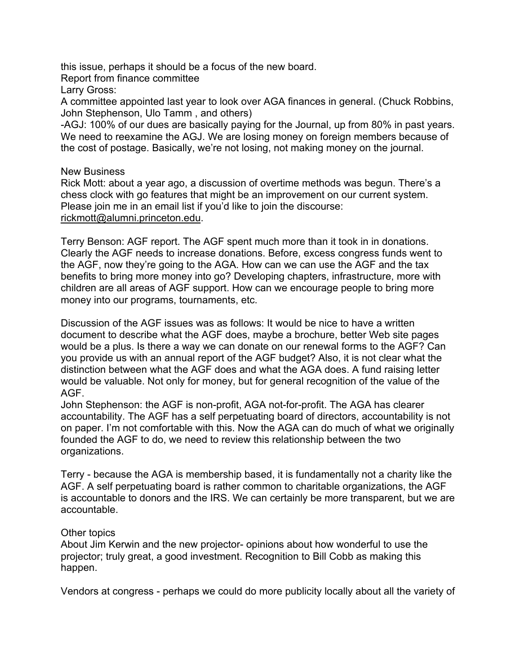this issue, perhaps it should be a focus of the new board.

Report from finance committee

Larry Gross:

A committee appointed last year to look over AGA finances in general. (Chuck Robbins, John Stephenson, Ulo Tamm , and others)

-AGJ: 100% of our dues are basically paying for the Journal, up from 80% in past years. We need to reexamine the AGJ. We are losing money on foreign members because of the cost of postage. Basically, we're not losing, not making money on the journal.

## New Business

Rick Mott: about a year ago, a discussion of overtime methods was begun. There's a chess clock with go features that might be an improvement on our current system. Please join me in an email list if you'd like to join the discourse: rickmott@alumni.princeton.edu.

Terry Benson: AGF report. The AGF spent much more than it took in in donations. Clearly the AGF needs to increase donations. Before, excess congress funds went to the AGF, now they're going to the AGA. How can we can use the AGF and the tax benefits to bring more money into go? Developing chapters, infrastructure, more with children are all areas of AGF support. How can we encourage people to bring more money into our programs, tournaments, etc.

Discussion of the AGF issues was as follows: It would be nice to have a written document to describe what the AGF does, maybe a brochure, better Web site pages would be a plus. Is there a way we can donate on our renewal forms to the AGF? Can you provide us with an annual report of the AGF budget? Also, it is not clear what the distinction between what the AGF does and what the AGA does. A fund raising letter would be valuable. Not only for money, but for general recognition of the value of the AGF.

John Stephenson: the AGF is non-profit, AGA not-for-profit. The AGA has clearer accountability. The AGF has a self perpetuating board of directors, accountability is not on paper. I'm not comfortable with this. Now the AGA can do much of what we originally founded the AGF to do, we need to review this relationship between the two organizations.

Terry - because the AGA is membership based, it is fundamentally not a charity like the AGF. A self perpetuating board is rather common to charitable organizations, the AGF is accountable to donors and the IRS. We can certainly be more transparent, but we are accountable.

## Other topics

About Jim Kerwin and the new projector- opinions about how wonderful to use the projector; truly great, a good investment. Recognition to Bill Cobb as making this happen.

Vendors at congress - perhaps we could do more publicity locally about all the variety of